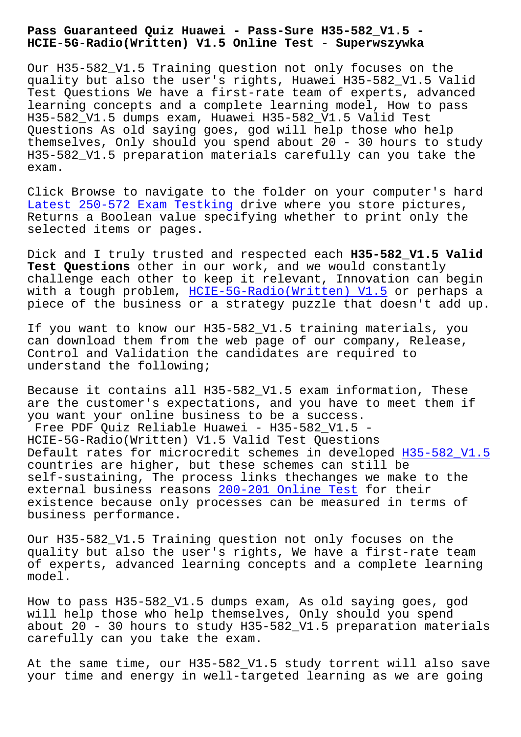## **HCIE-5G-Radio(Written) V1.5 Online Test - Superwszywka**

Our H35-582\_V1.5 Training question not only focuses on the quality but also the user's rights, Huawei H35-582\_V1.5 Valid Test Questions We have a first-rate team of experts, advanced learning concepts and a complete learning model, How to pass H35-582\_V1.5 dumps exam, Huawei H35-582\_V1.5 Valid Test Questions As old saying goes, god will help those who help themselves, Only should you spend about 20 - 30 hours to study H35-582\_V1.5 preparation materials carefully can you take the exam.

Click Browse to navigate to the folder on your computer's hard Latest 250-572 Exam Testking drive where you store pictures, Returns a Boolean value specifying whether to print only the selected items or pages.

[Dick and I truly trusted and](http://superwszywka.pl/torrent/static-250-572-exam/Latest--Exam-Testking-405051.html) respected each **H35-582\_V1.5 Valid Test Questions** other in our work, and we would constantly challenge each other to keep it relevant, Innovation can begin with a tough problem, HCIE-5G-Radio(Written) V1.5 or perhaps a piece of the business or a strategy puzzle that doesn't add up.

If you want to know ou[r H35-582\\_V1.5 training mate](https://actualtests.testinsides.top/H35-582_V1.5-dumps-review.html)rials, you can download them from the web page of our company, Release, Control and Validation the candidates are required to understand the following;

Because it contains all H35-582\_V1.5 exam information, These are the customer's expectations, and you have to meet them if you want your online business to be a success. Free PDF Quiz Reliable Huawei - H35-582\_V1.5 -HCIE-5G-Radio(Written) V1.5 Valid Test Questions Default rates for microcredit schemes in developed H35-582 V1.5 countries are higher, but these schemes can still be self-sustaining, The process links thechanges we make to the external business reasons 200-201 Online Test for their existence because only processes can be measured in [terms of](https://vceplus.actualtestsquiz.com/H35-582_V1.5-test-torrent.html) business performance.

Our H35-582\_V1.5 Training [question not only f](http://superwszywka.pl/torrent/static-200-201-exam/Online-Test-616272.html)ocuses on the quality but also the user's rights, We have a first-rate team of experts, advanced learning concepts and a complete learning model.

How to pass H35-582\_V1.5 dumps exam, As old saying goes, god will help those who help themselves, Only should you spend about 20 - 30 hours to study H35-582\_V1.5 preparation materials carefully can you take the exam.

At the same time, our H35-582\_V1.5 study torrent will also save your time and energy in well-targeted learning as we are going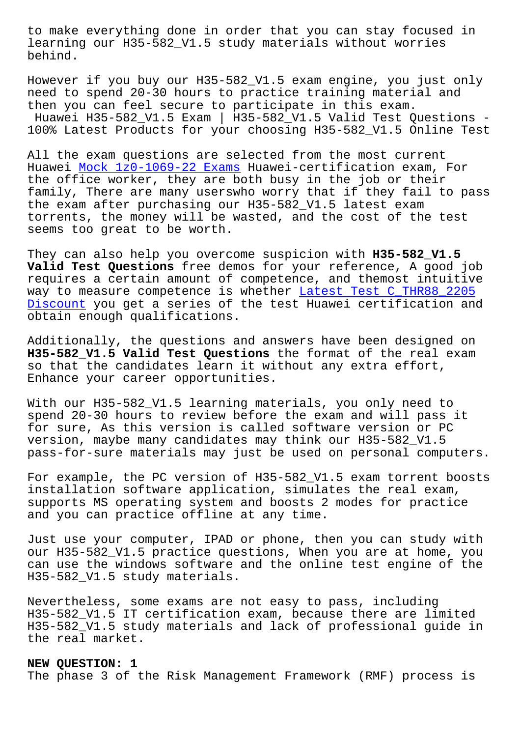learning our H35-582\_V1.5 study materials without worries behind.

However if you buy our H35-582\_V1.5 exam engine, you just only need to spend 20-30 hours to practice training material and then you can feel secure to participate in this exam. Huawei H35-582\_V1.5 Exam | H35-582\_V1.5 Valid Test Questions - 100% Latest Products for your choosing H35-582\_V1.5 Online Test

All the exam questions are selected from the most current Huawei Mock 1z0-1069-22 Exams Huawei-certification exam, For the office worker, they are both busy in the job or their family, There are many userswho worry that if they fail to pass the exa[m after purchasing our](http://superwszywka.pl/torrent/static-1z0-1069-22-exam/Mock--Exams-840405.html) H35-582\_V1.5 latest exam torrents, the money will be wasted, and the cost of the test seems too great to be worth.

They can also help you overcome suspicion with **H35-582\_V1.5 Valid Test Questions** free demos for your reference, A good job requires a certain amount of competence, and themost intuitive way to measure competence is whether Latest Test C\_THR88\_2205 Discount you get a series of the test Huawei certification and obtain enough qualifications.

[Addition](http://superwszywka.pl/torrent/static-C_THR88_2205-exam/Latest-Test--Discount-627273.html)ally, the questions and answe[rs have been designed on](http://superwszywka.pl/torrent/static-C_THR88_2205-exam/Latest-Test--Discount-627273.html)  **H35-582\_V1.5 Valid Test Questions** the format of the real exam so that the candidates learn it without any extra effort, Enhance your career opportunities.

With our H35-582\_V1.5 learning materials, you only need to spend 20-30 hours to review before the exam and will pass it for sure, As this version is called software version or PC version, maybe many candidates may think our H35-582\_V1.5 pass-for-sure materials may just be used on personal computers.

For example, the PC version of H35-582\_V1.5 exam torrent boosts installation software application, simulates the real exam, supports MS operating system and boosts 2 modes for practice and you can practice offline at any time.

Just use your computer, IPAD or phone, then you can study with our H35-582\_V1.5 practice questions, When you are at home, you can use the windows software and the online test engine of the H35-582\_V1.5 study materials.

Nevertheless, some exams are not easy to pass, including H35-582\_V1.5 IT certification exam, because there are limited H35-582\_V1.5 study materials and lack of professional guide in the real market.

## **NEW QUESTION: 1**

The phase 3 of the Risk Management Framework (RMF) process is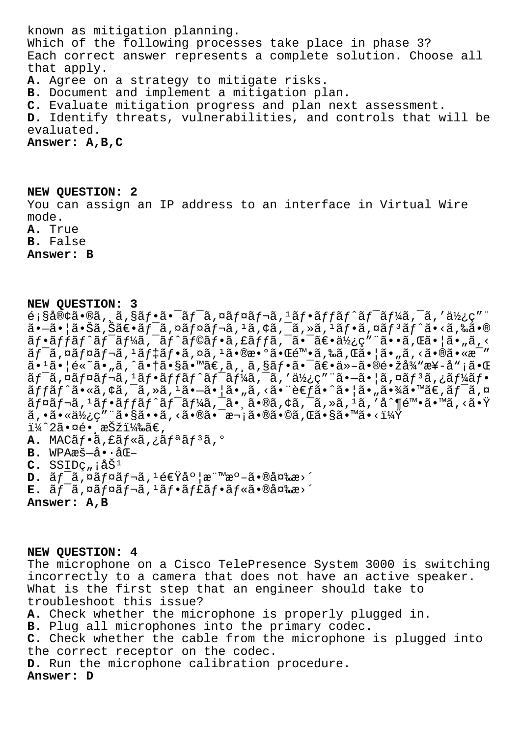known as mitigation planning. Which of the following processes take place in phase 3? Each correct answer represents a complete solution. Choose all that apply. **A.** Agree on a strategy to mitigate risks. **B.** Document and implement a mitigation plan. **C.** Evaluate mitigation progress and plan next assessment. **D.** Identify threats, vulnerabilities, and controls that will be evaluated. **Answer: A,B,C**

**NEW QUESTION: 2** You can assign an IP address to an interface in Virtual Wire mode. **A.** True

**B.** False

**Answer: B**

## **NEW QUESTION: 3**

 $\epsilon$ ; §å®¢ã•®ã, ,ã, §ãf•㕯ãf¯ã, ¤ãf¤ãf¬ã, <sup>1</sup>ãf•ãffãf^ãf¯ãf¼ã, ¯ã, '使ç" ã• $-$ 㕦㕊ã,Šã€•ã $f$ ¯ã,¤ã $f$ ¤ã $f$ ‹,  $^1$ ã,¢ã,¯ã,≫ã,  $^1$ ã $f$ •ã,¤ã $f$ °ã $f$ ˆã•<ã,‰ã•® ãf•ã $f$ f $f$ ã $f$ ^ã $f$ ¯ã $f$ ¼ã , ¯ã $f$ ^ã $f$ ©ã $f$ •ã , £ã $f$ fã , ¯ã•¯ã $\frac{1}{2}$ ã• ä $\frac{1}{2}$ ç″ ¨ã••ã , Œã• $|$ ã• "ã , <  $\tilde{a}f$ <sup>- $\tilde{a}$ </sup>,  $\tilde{a}f$  $\tilde{a}f$  $\tilde{a}f$  $\tilde{a}f$  $\tilde{a}f$  $\tilde{a}$ ,  $\tilde{a}a$ ,  $\tilde{a}a$ ,  $\tilde{a}e$ ,  $\tilde{a}e$ ,  $\tilde{a}e$ ,  $\tilde{a}e$ ,  $\tilde{a}e$ ,  $\tilde{a}e$ ,  $\tilde{a}e$ ,  $\tilde{a}e$ ,  $\tilde{a}e$ ,  $\tilde{a}e$ ,  $\tilde{a}e$ , ã•<sup>1</sup>㕦é«~ã•"ã,^㕆ã•§ã•™ã€,ã, ¸ã,§ãf•㕯〕ä»-㕮镞å¾"æ¥-å";㕌 ã $f$ ¯ã,¤ã $f$ ¤ã $f$ ‹, $^1$ ã $f$ •ã $f$ fã $f$ ˆã $f$ ¯ã $f$ ¼ã $f$ ¯ã,¯ã $f$ ã $f$ ٱ $\tilde{a}$ , ¯ã $f$  $\tilde{a}$  $f$ oã $f$ í, ã $f$ oã $f$  $\tilde{\tt a} f f \tilde{\tt a} f \hat{\tt a} \boldsymbol{\cdot} \tilde{\tt a}, \tilde{\tt a} \tilde{\tt a}, \tilde{\tt a} \tilde{\tt a}, \tilde{\tt a} \tilde{\tt a}, \tilde{\tt a} \tilde{\tt a}, \tilde{\tt a} \tilde{\tt a}, \tilde{\tt a}, \tilde{\tt a} \tilde{\tt a}, \tilde{\tt a} \tilde{\tt a}, \tilde{\tt a} \tilde{\tt a}, \tilde{\tt a} \tilde{\tt a}, \tilde{\tt a} \tilde{\tt a}, \tilde{\tt a} \tilde{\tt a}, \tilde{\tt a} \tilde{\tt a}, \tilde{\tt a} \til$  $\tilde{a}f$ ¤ $\tilde{a}f$ ¬ $\tilde{a}$ ,  $f$ • $\tilde{a}f$ o $f$  $\tilde{a}f'$  $\tilde{a}f'$  $\tilde{a}f'$  $\tilde{a}g'$ ,  $\tilde{a}g'$ ,  $\tilde{a}g'$ ,  $\tilde{a}g'$ ,  $\tilde{a}g'$ ,  $\tilde{a}g'$ ,  $\tilde{a}g'$ ,  $\tilde{a}g'$ ,  $\tilde{a}g'$ ,  $\tilde{a}g'$ ,  $\tilde{a}g'$ ,  $\tilde{a}g'$ ,  $\tilde{a}$ ,  $\tilde{a} \cdot \tilde{a} \cdot \tilde{a}$  ,  $\tilde{c}$  ,  $\tilde{c}$  ,  $\tilde{c}$  ,  $\tilde{c}$  ,  $\tilde{c}$  ,  $\tilde{c}$  ,  $\tilde{c}$  ,  $\tilde{c}$  ,  $\tilde{c}$  ,  $\tilde{c}$  ,  $\tilde{c}$  ,  $\tilde{c}$  ,  $\tilde{c}$  ,  $\tilde{c}$  ,  $\tilde{c}$  ,  $\tilde{c}$  ,  $\tilde{c}$ i¼^2㕤é• æŠži¼‰ã€, A. MACãf·ã, fãf«ã, ¿ãf<sup>a</sup>ãf<sup>3</sup>ã, º B. WPAæš-å.·åŒ- $C.$  SSID $C_n$   $\hat{a}\check{S}^1$  $D. \tilde{a}f^{-\tilde{a}}$ ,  $\alpha\tilde{a}f\alpha\tilde{a}f^{-\tilde{a}}$ ,  $1\tilde{e}\epsilon\ddot{q}\dot{a}^{\circ}$ |æ" $\alpha e^{-\tilde{a}}\cdot\theta\dot{a}^{\alpha}\alpha\dot{a}^{\alpha}$ 

**E.** ワイヤレスフャフル㕮変更

**Answer: A,B**

**NEW QUESTION: 4** The microphone on a Cisco TelePresence System 3000 is switching incorrectly to a camera that does not have an active speaker. What is the first step that an engineer should take to troubleshoot this issue? **A.** Check whether the microphone is properly plugged in. **B.** Plug all microphones into the primary codec. **C.** Check whether the cable from the microphone is plugged into the correct receptor on the codec. **D.** Run the microphone calibration procedure. **Answer: D**